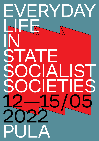# EVERYDAY LIFE IN STATE. **OCIALIST** OCIETIES<br>2-15/05 12—15/ 20 PULA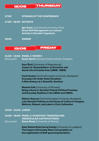12/05 THURSDAY

### **17:00 OPENING OF THE CONFERENCE**

**17:30**—**18:30 KEYNOTE**

**Igor Duda** [Juraj Dobrila University, Pula] **Social Self-Management as a Leisure Activity in Socialist Yugoslavia**

**19:00 DINNER**

# 13/05 FRIDAY

**11:00**—**13:00 PANEL 1 «WORK»** Discussant: **Eszter Barth** [Hannah Arendt Institute, Dresden]

> **Sara Žerić** [University of Regensburg] **Impact of ‹Gastarbeiters› on Economic and Social Life of Imotski Area (1968**‒**1989)**

**Faruh Kuziev** [Central European University, Budapest] **Everyday Life Under State Socialism: A Microhistory of a Scientific Sovkhoz**

**Melanie Foik** [University of Münster] **Being a Nurse in Socialist Poland: Political Promises and Everyday Realities in the 1950s and 1960s**

**Márton Szarvas** [Central European University, Budapest] **Late-Socialist Policies on the House of Culture in Hungary. Reforms, Dissent, and Labor in Civic Cultivation**

### **13:00**—**14:00 LUNCH**

**14:00**—**16:00 PANEL 2 «EVERYDAY TENSIONS AND VERNACULAR JUSTIFICATIONS»** Discussant: **Goran Music** [University of Vienna]

> **Sašo Slaček Brlek/Jernej Kaluža** [University of Ljubljana] **The Impact of Everyday News Consumption on the Legitimation of Self-governing Socialism**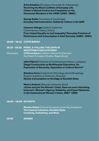**Arina Kolodina** [European University St. Petersburg] **Resolving the Moral Conflicts of Everyday Life. Citizen's Mutual Control and Complaints on the Komsomol Members in the USSR (1950**‒**1960)**

**George Bodie** [University of Cambridge] **Everyday Internationalism: Solidarity Culture in the GDR**

**Clemens Villinger** [Leibniz Centre for Contemporary History, Erfurt] **From Unjust Equality to Just Inequality? Everyday Practices of Performance and Consumption in East Germany (1980**‒**1995)**

**16:00**—**16:15 COFFE BREAK**

**16:15**—**18:15: PANEL 3 «FILLING THE GAPS IN REDISTRIBUTION SYSTEMS»** Discussant **Ulf Brunnbauer** [Leibniz Institute for East and Southeast European Studies, Regensburg]

> **Jelka Piškurić** [Institute of Contemporary History, Ljubljana] **Illegal Construction as Multifaceted Subculture. An Expression of Necessity, Opposition or Cultural Norms?**

**Sokolova Anna** [Institute for Ethnology and Anthropology, Russian Academy of Sciences, Moscow] **Market Consumption on the Edge of Socialist State**

**Marie Láníková** [Masaryk University, Brno] **«Come and join the Women' Union, there are such interesting lectures!»: Women's Agency, Solidarity, and Expert Networks in the Czechoslovak Women's Union, 1967**‒**1989**

# **18:30**—**19:30 KEYNOTE**

**Marsha Siefert** [Central European University, Budapest] **The Cultural Industries, Socialist Style: Creativity, Collectivity, and Work**

**19:30 DINNER**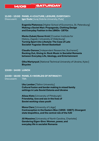# 14/05 SATURDAY

# **11:00**—**13:00 PANEL 4 «CULTURE, LEISURE, EVERYDAY»** Disscusant: **Igor Duda** [Juraj Dobrila University, Pula]

**Evgeniia Platonova** [Higher School of Economics, St. Petersburg] **Making a Soviet Man: Propaganda, Clothing Design and Everyday Fashion in the 1960s**‒**1970s**

**Marko Zubak/Goran Krnić** [Croatian Institute for History, Zagreb | University of Oldenburg] **Turning Sport into Lifestyle: The Case of Late Socialist Yugoslav Street Basketball**

**Claudiu Oancea** [Independent Researcher, Bucharest] **Rocking Out, Giving In: Rock Music in Socialist Romania between Everyday Life, Ideology, and Entertainment**

**Olha Martynyuk** [National Technical University of Ukraine, Kyiev] **Bicycles** 

## **13:00**—**14:00 LUNCH**

**14:00**—**16:00 PANEL 5 «WORLDS OF INTIMACY»** Discussant: TBA

> **Uku Lember** [Tallinn University] **Cultural fusion and border making in mixed family settings in Late Soviet Estonia and Ukraine**

**Alissa Klots** [University of Pittsburgh] **Friendship, love and sex in the lives of Soviet working-class youth**

**Mona Claro** [University of Liège] **Contraception in the Eastern Bloc (1955**‒**1987): Divergent state biopolitics, and the central role of the IUD**

**Jill Massimo [University of North Carolina, Charlotte] Gendering Eigen-Sinn: Women, power, and everyday life in socialist Romania**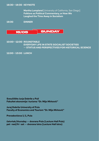**18:30**—**19:30 KEYNOTE**

**Martha Lampland** [University of California, San Diego] **Folklore as Political Commentary, or How We Laughed the Time Away in Socialism**

**19:30 DINNER**



# **10:00**—**12:00 ROUNDTABLE EVERYDAY LIFE IN STATE SOCIALIST SOCIETIES**  — **STATUS AND PERSPECTIVES FOR HISTORICAL SCIENCE**

**12:00**—**13:00 LUNCH**

**Sveučilište Jurja Dobrile u Puli Fakultet ekonomije i turizma "Dr. Mijo Mirković"**

**Juraj Dobrila University of Pula Faculty of Economics and Tourism "Dr. Mijo Mirković"**

**Preradovićeva 1**/**1, Pula**

**četvrtak/thursday** — **dvorana Pula (Lecture Hall Pula) pet**‒**ned/fri**‒**sat** — **dvorana Istra (Lecture Hall Istra)**